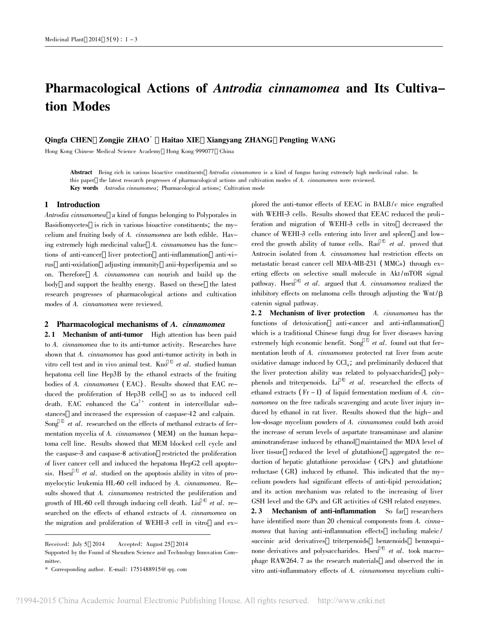# Pharmacological Actions of Antrodia cinnamomea and Its Cultivation Modes

# Qingfa CHEN Zongjie ZHAO\* Haitao XIE Xiangyang ZHANG Pengting WANG

Hong Kong Chinese Medical Science Academy Hong Kong 999077 China

Abstract Being rich in various bioactive constituents Antrodia cinnamomea is a kind of fungus having extremely high medicinal value. In this paper the latest research progresses of pharmacological actions and cultivation modes of A. cinnamomea were reviewed. Key words Antrodia cinnamomea; Pharmacological actions; Cultivation mode

# 1 Introduction

Antrodia cinnamomea a kind of fungus belonging to Polyporales in Basidiomycetes is rich in various bioactive constituents; the mycelium and fruiting body of A. cinnamomea are both edible. Having extremely high medicinal value A. cinnamomea has the functions of anti-cancer liver protection anti-inflammation anti-virus anti-oxidation adjusting immunity anii-hyperlipemia and so on. Therefore A. cinnamomea can nourish and build up the body and support the healthy energy. Based on these the latest research progresses of pharmacological actions and cultivation modes of A. cinnamomea were reviewed.

# 2 Pharmacological mechanisms of A. cinnamomea

2.1 Mechanism of anti-tumor High attention has been paid to A. cinnamomea due to its anti-tumor activity. Researches have shown that A. cinnamomea has good anti-tumor activity in both in vitro cell test and in vivo animal test. Kuo  $1$  et al. studied human hepatoma cell line Hep3B by the ethanol extracts of the fruiting bodies of A. cinnamomea ( EAC) . Results showed that EAC reduced the proliferation of Hep3B cells so as to induced cell death. EAC enhanced the  $Ca^{2+}$  content in intercellular substances and increased the expression of caspase-12 and calpain. Song  $2$  et al. researched on the effects of methanol extracts of fermentation mycelia of A. cinnamomea ( MEM) on the human hepatoma cell line. Results showed that MEM blocked cell cycle and the caspase-3 and caspase-8 activation restricted the proliferation of liver cancer cell and induced the hepatoma HepG2 cell apoptosis. Hseu<sup>3</sup> et al. studied on the apoptosis ability in vitro of promyelocytic leukemia HL-60 cell induced by A. cinnamomea. Results showed that A. *cinnamomea* restricted the proliferation and growth of HL-60 cell through inducing cell death. Liu<sup>4</sup> et al. researched on the effects of ethanol extracts of A. cinnamomea on the migration and proliferation of WEHI-3 cell in vitro and explored the anti-tumor effects of EEAC in BALB/c mice engrafted with WEHI-3 cells. Results showed that EEAC reduced the proliferation and migration of WEHI-3 cells in vitro decreased the chance of WEHI-3 cells entering into liver and spleen and lowered the growth ability of tumor cells. Rao  $5$  et al. proved that Antrocin isolated from A. cinnamomea had restriction effects on metastatic breast cancer cell MDA-MB-231 ( MMCs) through exerting effects on selective small molecule in Akt /mTOR signal pathway. Hseu  $6$  et al. argued that A. cinnamomea realized the inhibitory effects on melanoma cells through adjusting the Wnt /β catenin signal pathway.

2.2 Mechanism of liver protection A. cinnamomea has the functions of detoxication anti-cancer and anti-inflammation which is a traditional Chinese fungi drug for liver diseases having extremely high economic benefit. Song  $\frac{7}{1}$  et al. found out that fermentation broth of A. cinnamomea protected rat liver from acute oxidative damage induced by  $CCl_{4}$ ; and preliminarily deduced that the liver protection ability was related to polysaccharides polyphenols and triterpenoids. Lu<sup>8</sup> et al. researched the effects of ethanol extracts ( $Fr - I$ ) of liquid fermentation medium of A. cinnamomea on the free radicals scavenging and acute liver injury induced by ethanol in rat liver. Results showed that the high- and low-dosage mycelium powders of A. cinnamomea could both avoid the increase of serum levels of aspartate transaminase and alanine aminotransferase induced by ethanol maintained the MDA level of liver tissue reduced the level of glutathione aggregated the reduction of hepatic glutathione peroxidase ( GPx) and glutathione reductase ( GR) induced by ethanol. This indicated that the mycelium powders had significant effects of anti-lipid peroxidation; and its action mechanism was related to the increasing of liver GSH level and the GPx and GR activities of GSH related enzymes. 2.3 Mechanism of anti-inflammation So far researchers have identified more than 20 chemical components from A. cinnamomea that having anti-inflammation effects including maleic/ succinic acid derivatives triterpenoids benzenoids benzoquinone derivatives and polysaccharides. Hseu  $9$  et al. took macrophage RAW264. 7 as the research materials and observed the in vitro anti-inflammatory effects of A. cinnamomea mycelium culti-

Received: July 5 2014 Accepted: August 25 2014

Supported by the Found of Shenzhen Science and Technology Innovation Committee.

<sup>\*</sup> Corresponding author. E-mail: 1751488915@ qq. com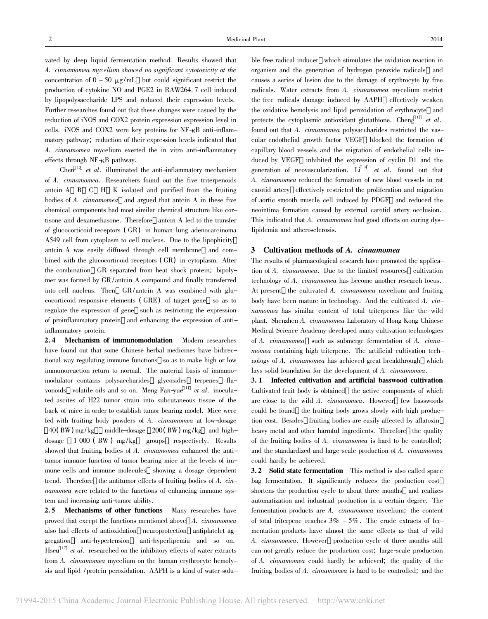vated by deep liquid fermentation method. Results showed that A. cinnamomea mycelium showed no significant cytotoxicity at the concentration of  $0 - 50 \mu g/mL$  but could significant restrict the production of cytokine NO and PGE2 in RAW264. 7 cell induced by lipopolysaccharide LPS and reduced their expression levels. Further researches found out that these changes were casued by the reduction of iNOS and COX2 protein expression expression level in cells. iNOS and COX2 were key proteins for NF-κB anti-inflammatory pathway; reduction of their expression levels indicated that A. cinnamomea mycelium exerted the in vitro anti-inflammatory effects through NF-κB pathway.

Chen  $10$  et al. illuminated the anti-inflammatory mechanism of A. cinnamomea. Researchers found out the five triterpenoids antcin A B C H K isolated and purified from the fruiting bodies of A. cinnamomea and argued that antcin A in these five chemical components had most similar chemical structure like cortisone and dexamethasone. Therefore antcin A led to the transfer of glucocorticoid receptors ( GR) in human lung adenocarcinoma A549 cell from cytoplasm to cell nucleus. Due to the lipophicity antcin A was easily diffused through cell membrane and combined with the glucocorticoid receptors ( GR) in cytoplasm. After the combination GR separated from heat shock protein; bipolymer was formed by GR/antcin A compound and finally transferred into cell nucleus. Then GR/antcin A was combined with glucocorticoid responsive elements ( GRE) of target gene so as to regulate the expression of gene such as restricting the expression of proinflammatory protein and enhancing the expression of antiinflammatory protein.

2. 4 Mechanism of immunomodulation Modern researches have found out that some Chinese herbal medicines have bidirectional way regulating immune functions so as to make high or low immunoreaction return to normal. The material basis of immunomodulator contains polysaccharides glycosides terpenes flavonoids volatile oils and so on. Meng Fan-yue  $\frac{11}{1}$  et al. inoculated ascites of H22 tumor strain into subcutaneous tissue of the back of mice in order to establish tumor bearing model. Mice were fed with fruiting body powders of A. cinnamomea at low-dosage  $40(BW)$  mg/kg middle-dosage  $200(BW)$  mg/kg and highdosage 1 000 (BW) mg/kg groups respectively. Results showed that fruiting bodies of A. cinnamomea enhanced the antitumor immune function of tumor bearing mice at the levels of immune cells and immune molecules showing a dosage dependent trend. Therefore the antitumor effects of fruiting bodies of A. cinnamomea were related to the functions of enhancing immune system and increasing anti-tumor ability.

2.5 Mechanisms of other functions Many researches have proved that except the functions mentioned above A. cinnamomea also had effects of antioxidation neuroprotection antiplatelet aggregation anti-hypertension anti-hyperlipemia and so on. Hseu  $12$  et al. researched on the inhibitory effects of water extracts from A. cinnamomea mycelium on the human erythrocyte hemolysis and lipid / protein peroxidation. AAPH is a kind of water-soluble free radical inducer which stimulates the oxidation reaction in organism and the generation of hydrogen peroxide radicals and causes a series of lesion due to the damage of erythrocyte by free radicals. Water extracts from A. cinnamomea mycelium restrict the free radicals damage induced by AAPH effectively weaken the oxidative hemolysis and lipid peroxidation of erythrocyte and protects the cytoplasmic antioxidant glutathione. Cheng  $13$  et al. found out that A. cinnamomea polysaccharides restricted the vascular endothelial growth factor VEGF blocked the formation of capillary blood vessels and the migration of endothelial cells induced by VEGF inhibited the expression of cyclin D1 and the generation of neovascularization. Li<sup>14</sup> et al. found out that A. cinnamomea reduced the formation of new blood vessels in rat carotid artery effectively restricted the proliferation and migration of aortic smooth muscle cell induced by PDGF and reduced the neointima formation caused by external carotid artery occlusion. This indicated that A. *cinnamomea* had good effects on curing dyslipidemia and atherosclerosis.

# 3 Cultivation methods of A. cinnamomea

The results of pharmacological research have promoted the application of A. cinnamomea. Due to the limited resources cultivation technology of A. cinnamomea has become another research focus. At present the cultivated A. cinnamomea mycelium and fruiting body have been mature in technology. And the cultivated A. cinnamomea has similar content of total triterpenes like the wild plant. Shenzhen A. cinnamomea Laboratory of Hong Kong Chinese Medical Science Academy developed many cultivation technologies of A. cinnamomea such as submerge fermentation of A. cinnamomea containing high triterpene. The artificial cultivation technology of A. cinnamomea has achieved great breakthrough which lays solid foundation for the development of A. cinnamomea.

3. 1 Infected cultivation and artificial basswood cultivation Cultivated fruit body is obtained the active components of which are close to the wild A. cinnamomea. However few basswoods could be found the fruiting body grows slowly with high production cost. Besides fruiting bodies are easily affected by aflatoxin heavy metal and other harmful ingredients. Therefore the quality of the fruiting bodies of A. cinnamomea is hard to be controlled; and the standardized and large-scale production of A. cinnamomea could hardly be achieved.

3. 2 Solid state fermentation This method is also called space bag fermentation. It significantly reduces the production cost shortens the production cycle to about three months and realizes automatization and industrial production in a certain degree. The fermentation products are A. cinnamomea mycelium; the content of total triterpene reaches  $3\% - 5\%$ . The crude extracts of fermentation products have almost the same effects as that of wild A. cinnamomea. However production cycle of three months still can not greatly reduce the production cost; large-scale production of A. cinnamomea could hardly be achieved; the quality of the fruiting bodies of A. cinnamomea is hard to be controlled; and the